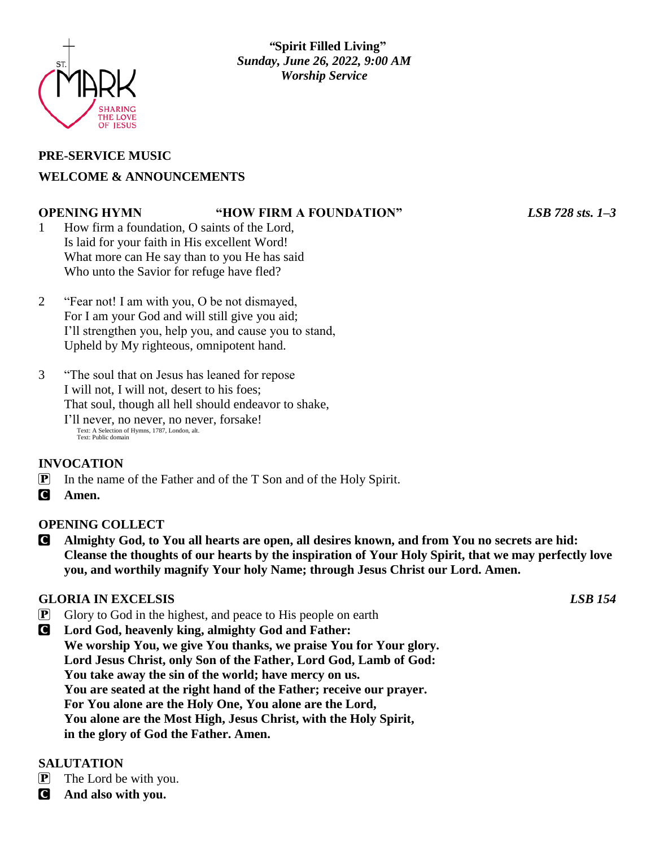

# **PRE-SERVICE MUSIC WELCOME & ANNOUNCEMENTS**

#### **OPENING HYMN "HOW FIRM A FOUNDATION"** *LSB 728 sts. 1–3*

1 How firm a foundation, O saints of the Lord, Is laid for your faith in His excellent Word! What more can He say than to you He has said Who unto the Savior for refuge have fled?

- 2 "Fear not! I am with you, O be not dismayed, For I am your God and will still give you aid; I'll strengthen you, help you, and cause you to stand, Upheld by My righteous, omnipotent hand.
- 3 "The soul that on Jesus has leaned for repose I will not, I will not, desert to his foes; That soul, though all hell should endeavor to shake, I'll never, no never, no never, forsake! Text: A Selection of Hymns, 1787, London, alt. Text: Public domain

# **INVOCATION**

- P In the name of the Father and of the T Son and of the Holy Spirit.
- C **Amen.**

# **OPENING COLLECT**

C **Almighty God, to You all hearts are open, all desires known, and from You no secrets are hid: Cleanse the thoughts of our hearts by the inspiration of Your Holy Spirit, that we may perfectly love you, and worthily magnify Your holy Name; through Jesus Christ our Lord. Amen.**

# **GLORIA IN EXCELSIS** *LSB 154*

- **P** Glory to God in the highest, and peace to His people on earth
- C **Lord God, heavenly king, almighty God and Father: We worship You, we give You thanks, we praise You for Your glory. Lord Jesus Christ, only Son of the Father, Lord God, Lamb of God: You take away the sin of the world; have mercy on us. You are seated at the right hand of the Father; receive our prayer. For You alone are the Holy One, You alone are the Lord, You alone are the Most High, Jesus Christ, with the Holy Spirit, in the glory of God the Father. Amen.**

# **SALUTATION**

- $\mathbf{P}$  The Lord be with you.
- C **And also with you.**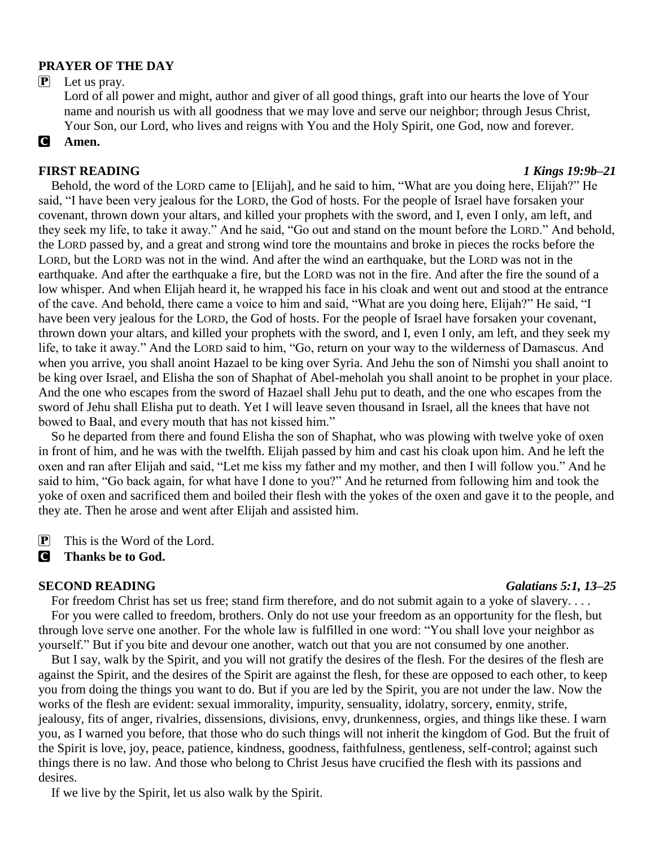### **PRAYER OF THE DAY**

#### P Let us pray.

Lord of all power and might, author and giver of all good things, graft into our hearts the love of Your name and nourish us with all goodness that we may love and serve our neighbor; through Jesus Christ, Your Son, our Lord, who lives and reigns with You and the Holy Spirit, one God, now and forever.

### C **Amen.**

#### **FIRST READING** *1 Kings 19:9b–21*

Behold, the word of the LORD came to [Elijah], and he said to him, "What are you doing here, Elijah?" He said, "I have been very jealous for the LORD, the God of hosts. For the people of Israel have forsaken your covenant, thrown down your altars, and killed your prophets with the sword, and I, even I only, am left, and they seek my life, to take it away." And he said, "Go out and stand on the mount before the LORD." And behold, the LORD passed by, and a great and strong wind tore the mountains and broke in pieces the rocks before the LORD, but the LORD was not in the wind. And after the wind an earthquake, but the LORD was not in the earthquake. And after the earthquake a fire, but the LORD was not in the fire. And after the fire the sound of a low whisper. And when Elijah heard it, he wrapped his face in his cloak and went out and stood at the entrance of the cave. And behold, there came a voice to him and said, "What are you doing here, Elijah?" He said, "I have been very jealous for the LORD, the God of hosts. For the people of Israel have forsaken your covenant, thrown down your altars, and killed your prophets with the sword, and I, even I only, am left, and they seek my life, to take it away." And the LORD said to him, "Go, return on your way to the wilderness of Damascus. And when you arrive, you shall anoint Hazael to be king over Syria. And Jehu the son of Nimshi you shall anoint to be king over Israel, and Elisha the son of Shaphat of Abel-meholah you shall anoint to be prophet in your place. And the one who escapes from the sword of Hazael shall Jehu put to death, and the one who escapes from the sword of Jehu shall Elisha put to death. Yet I will leave seven thousand in Israel, all the knees that have not bowed to Baal, and every mouth that has not kissed him."

So he departed from there and found Elisha the son of Shaphat, who was plowing with twelve yoke of oxen in front of him, and he was with the twelfth. Elijah passed by him and cast his cloak upon him. And he left the oxen and ran after Elijah and said, "Let me kiss my father and my mother, and then I will follow you." And he said to him, "Go back again, for what have I done to you?" And he returned from following him and took the yoke of oxen and sacrificed them and boiled their flesh with the yokes of the oxen and gave it to the people, and they ate. Then he arose and went after Elijah and assisted him.

P This is the Word of the Lord.

#### C **Thanks be to God.**

#### **SECOND READING** *Galatians 5:1, 13–25*

For freedom Christ has set us free; stand firm therefore, and do not submit again to a yoke of slavery.... For you were called to freedom, brothers. Only do not use your freedom as an opportunity for the flesh, but through love serve one another. For the whole law is fulfilled in one word: "You shall love your neighbor as yourself." But if you bite and devour one another, watch out that you are not consumed by one another.

But I say, walk by the Spirit, and you will not gratify the desires of the flesh. For the desires of the flesh are against the Spirit, and the desires of the Spirit are against the flesh, for these are opposed to each other, to keep you from doing the things you want to do. But if you are led by the Spirit, you are not under the law. Now the works of the flesh are evident: sexual immorality, impurity, sensuality, idolatry, sorcery, enmity, strife, jealousy, fits of anger, rivalries, dissensions, divisions, envy, drunkenness, orgies, and things like these. I warn you, as I warned you before, that those who do such things will not inherit the kingdom of God. But the fruit of the Spirit is love, joy, peace, patience, kindness, goodness, faithfulness, gentleness, self-control; against such things there is no law. And those who belong to Christ Jesus have crucified the flesh with its passions and desires.

If we live by the Spirit, let us also walk by the Spirit.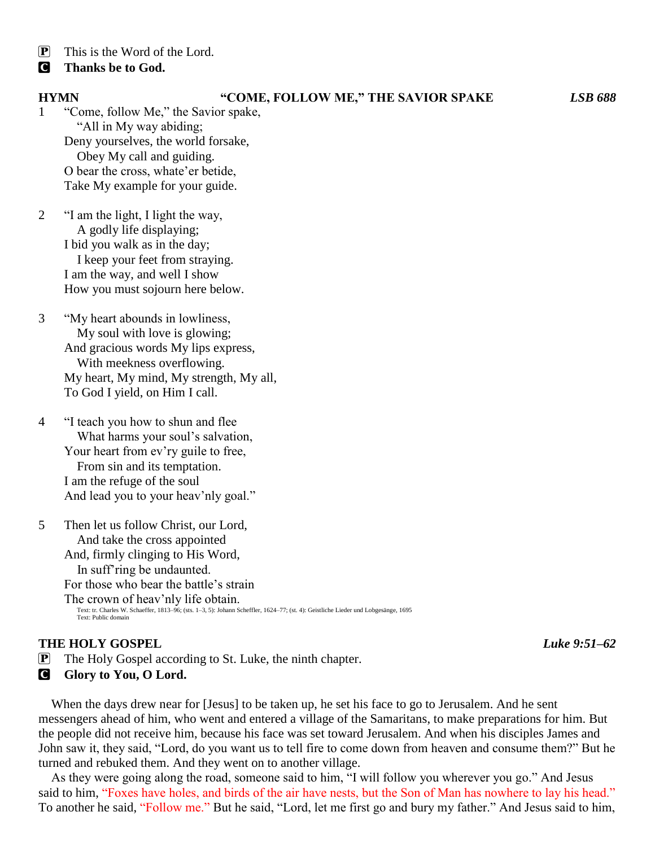- $\mathbf{P}$  This is the Word of the Lord.
- C **Thanks be to God.**

#### **HYMN "COME, FOLLOW ME," THE SAVIOR SPAKE** *LSB 688*

1 "Come, follow Me," the Savior spake, "All in My way abiding; Deny yourselves, the world forsake, Obey My call and guiding. O bear the cross, whate'er betide, Take My example for your guide.

- 2 "I am the light, I light the way, A godly life displaying; I bid you walk as in the day; I keep your feet from straying. I am the way, and well I show How you must sojourn here below.
- 3 "My heart abounds in lowliness, My soul with love is glowing; And gracious words My lips express, With meekness overflowing. My heart, My mind, My strength, My all, To God I yield, on Him I call.
- 4 "I teach you how to shun and flee What harms your soul's salvation, Your heart from ev'ry guile to free, From sin and its temptation. I am the refuge of the soul And lead you to your heav'nly goal."

5 Then let us follow Christ, our Lord, And take the cross appointed And, firmly clinging to His Word, In suff'ring be undaunted. For those who bear the battle's strain The crown of heav'nly life obtain. Text: tr. Charles W. Schaeffer, 1813–96; (sts. 1–3, 5): Johann Scheffler, 1624–77; (st. 4): Geistliche Lieder und Lobgesänge, 1695 Text: Public domain

### **THE HOLY GOSPEL** *Luke 9:51–62*

P The Holy Gospel according to St. Luke, the ninth chapter.

#### C **Glory to You, O Lord.**

When the days drew near for [Jesus] to be taken up, he set his face to go to Jerusalem. And he sent messengers ahead of him, who went and entered a village of the Samaritans, to make preparations for him. But the people did not receive him, because his face was set toward Jerusalem. And when his disciples James and John saw it, they said, "Lord, do you want us to tell fire to come down from heaven and consume them?" But he turned and rebuked them. And they went on to another village.

As they were going along the road, someone said to him, "I will follow you wherever you go." And Jesus said to him, "Foxes have holes, and birds of the air have nests, but the Son of Man has nowhere to lay his head." To another he said, "Follow me." But he said, "Lord, let me first go and bury my father." And Jesus said to him,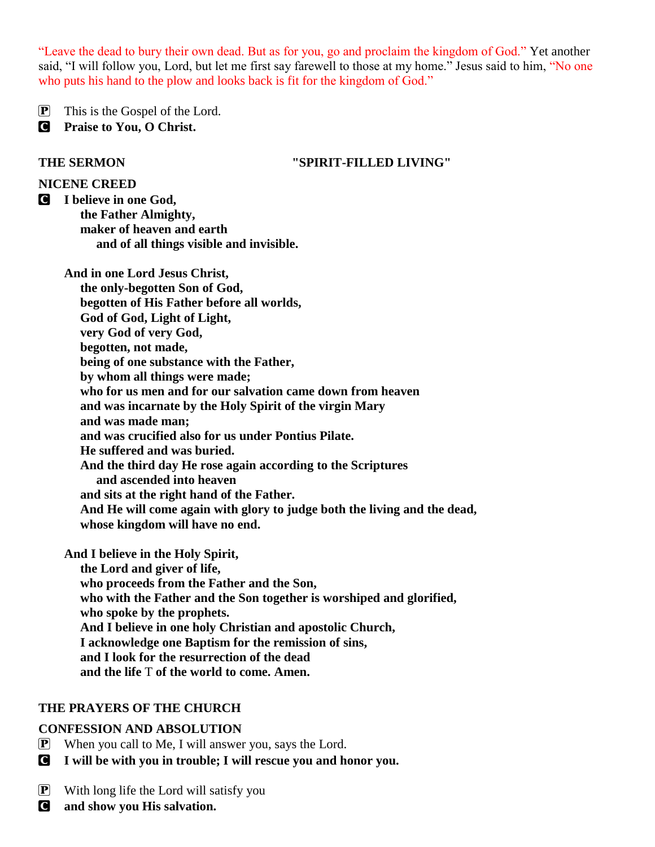"Leave the dead to bury their own dead. But as for you, go and proclaim the kingdom of God." Yet another said, "I will follow you, Lord, but let me first say farewell to those at my home." Jesus said to him, "No one who puts his hand to the plow and looks back is fit for the kingdom of God."

P This is the Gospel of the Lord.

C **Praise to You, O Christ.**

### **THE SERMON "SPIRIT-FILLED LIVING"**

### **NICENE CREED**

C **I believe in one God, the Father Almighty, maker of heaven and earth and of all things visible and invisible.**

**And in one Lord Jesus Christ, the only-begotten Son of God, begotten of His Father before all worlds, God of God, Light of Light, very God of very God, begotten, not made, being of one substance with the Father, by whom all things were made; who for us men and for our salvation came down from heaven and was incarnate by the Holy Spirit of the virgin Mary and was made man; and was crucified also for us under Pontius Pilate. He suffered and was buried. And the third day He rose again according to the Scriptures and ascended into heaven and sits at the right hand of the Father. And He will come again with glory to judge both the living and the dead, whose kingdom will have no end.**

**And I believe in the Holy Spirit, the Lord and giver of life, who proceeds from the Father and the Son, who with the Father and the Son together is worshiped and glorified, who spoke by the prophets. And I believe in one holy Christian and apostolic Church, I acknowledge one Baptism for the remission of sins, and I look for the resurrection of the dead and the life** T **of the world to come. Amen.**

# **THE PRAYERS OF THE CHURCH**

# **CONFESSION AND ABSOLUTION**

- $\mathbf{P}$  When you call to Me, I will answer you, says the Lord.
- C **I will be with you in trouble; I will rescue you and honor you.**
- $\mathbf{P}$  With long life the Lord will satisfy you
- C **and show you His salvation.**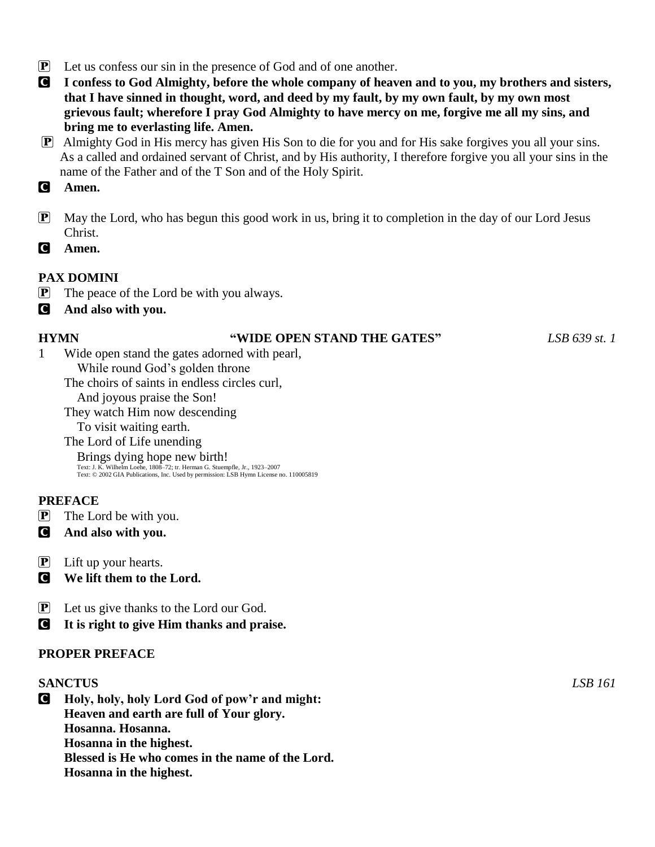- P Let us confess our sin in the presence of God and of one another.
- C **I confess to God Almighty, before the whole company of heaven and to you, my brothers and sisters, that I have sinned in thought, word, and deed by my fault, by my own fault, by my own most grievous fault; wherefore I pray God Almighty to have mercy on me, forgive me all my sins, and bring me to everlasting life. Amen.**
- P Almighty God in His mercy has given His Son to die for you and for His sake forgives you all your sins. As a called and ordained servant of Christ, and by His authority, I therefore forgive you all your sins in the name of the Father and of the T Son and of the Holy Spirit.
- C **Amen.**
- P May the Lord, who has begun this good work in us, bring it to completion in the day of our Lord Jesus Christ.
- C **Amen.**

# **PAX DOMINI**

- P The peace of the Lord be with you always.
- C **And also with you.**

### **HYMN "WIDE OPEN STAND THE GATES"** *LSB 639 st. 1*

- 1 Wide open stand the gates adorned with pearl, While round God's golden throne
	- The choirs of saints in endless circles curl,

And joyous praise the Son!

They watch Him now descending

To visit waiting earth.

The Lord of Life unending Brings dying hope new birth!

Text: J. K. Wilhelm Loehe, 1808–72; tr. Herman G. Stuempfle, Jr., 1923–2007 Text: © 2002 GIA Publications, Inc. Used by permission: LSB Hymn License no. 110005819

# **PREFACE**

- P The Lord be with you.
- C **And also with you.**
- $\mathbf{P}$  Lift up your hearts.
- C **We lift them to the Lord.**
- P Let us give thanks to the Lord our God.
- C **It is right to give Him thanks and praise.**

# **PROPER PREFACE**

#### **SANCTUS** *LSB 161*

C **Holy, holy, holy Lord God of pow'r and might: Heaven and earth are full of Your glory. Hosanna. Hosanna. Hosanna in the highest. Blessed is He who comes in the name of the Lord. Hosanna in the highest.**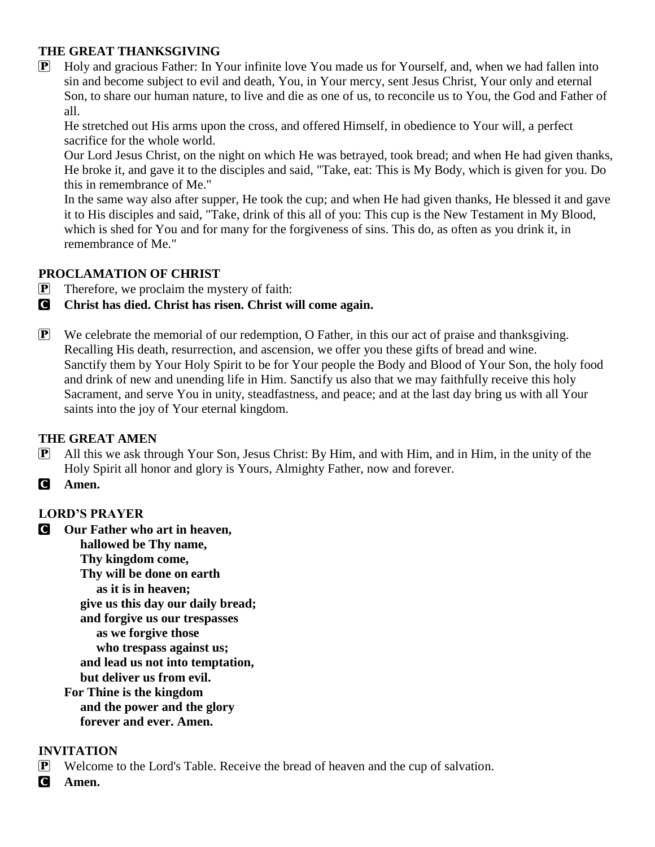# **THE GREAT THANKSGIVING**

P Holy and gracious Father: In Your infinite love You made us for Yourself, and, when we had fallen into sin and become subject to evil and death, You, in Your mercy, sent Jesus Christ, Your only and eternal Son, to share our human nature, to live and die as one of us, to reconcile us to You, the God and Father of all.

He stretched out His arms upon the cross, and offered Himself, in obedience to Your will, a perfect sacrifice for the whole world.

Our Lord Jesus Christ, on the night on which He was betrayed, took bread; and when He had given thanks, He broke it, and gave it to the disciples and said, "Take, eat: This is My Body, which is given for you. Do this in remembrance of Me."

In the same way also after supper, He took the cup; and when He had given thanks, He blessed it and gave it to His disciples and said, "Take, drink of this all of you: This cup is the New Testament in My Blood, which is shed for You and for many for the forgiveness of sins. This do, as often as you drink it, in remembrance of Me."

# **PROCLAMATION OF CHRIST**

 $\mathbf{P}$  Therefore, we proclaim the mystery of faith:

# C **Christ has died. Christ has risen. Christ will come again.**

P We celebrate the memorial of our redemption, O Father, in this our act of praise and thanksgiving. Recalling His death, resurrection, and ascension, we offer you these gifts of bread and wine. Sanctify them by Your Holy Spirit to be for Your people the Body and Blood of Your Son, the holy food and drink of new and unending life in Him. Sanctify us also that we may faithfully receive this holy Sacrament, and serve You in unity, steadfastness, and peace; and at the last day bring us with all Your saints into the joy of Your eternal kingdom.

# **THE GREAT AMEN**

- P All this we ask through Your Son, Jesus Christ: By Him, and with Him, and in Him, in the unity of the Holy Spirit all honor and glory is Yours, Almighty Father, now and forever.
- C **Amen.**

# **LORD'S PRAYER**

C **Our Father who art in heaven, hallowed be Thy name, Thy kingdom come, Thy will be done on earth as it is in heaven; give us this day our daily bread; and forgive us our trespasses as we forgive those who trespass against us; and lead us not into temptation, but deliver us from evil. For Thine is the kingdom and the power and the glory forever and ever. Amen.**

# **INVITATION**

P Welcome to the Lord's Table. Receive the bread of heaven and the cup of salvation.

C **Amen.**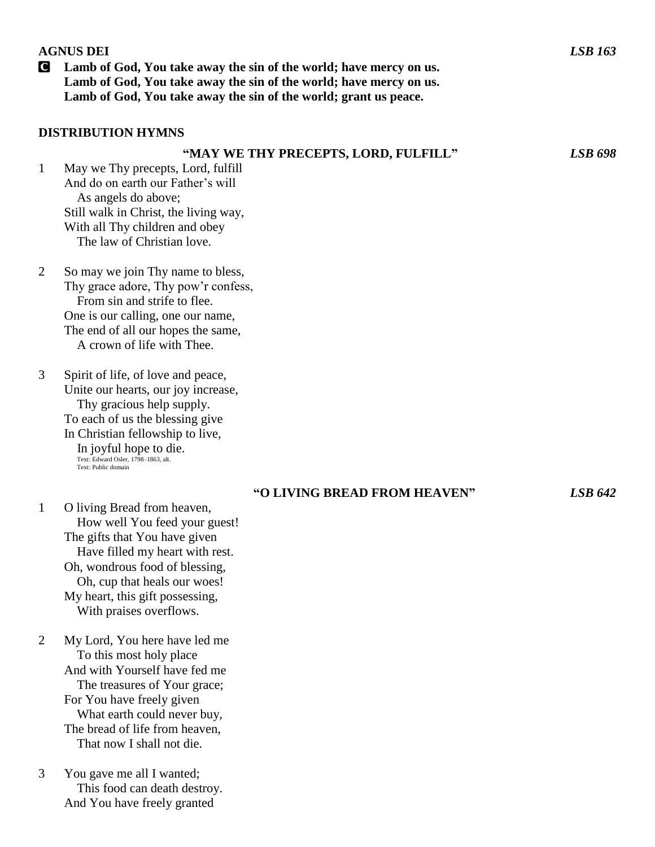#### **AGNUS DEI** *LSB 163*

C **Lamb of God, You take away the sin of the world; have mercy on us. Lamb of God, You take away the sin of the world; have mercy on us. Lamb of God, You take away the sin of the world; grant us peace.**

#### **DISTRIBUTION HYMNS**

#### **"MAY WE THY PRECEPTS, LORD, FULFILL"** *LSB 698*

- 1 May we Thy precepts, Lord, fulfill And do on earth our Father's will As angels do above; Still walk in Christ, the living way, With all Thy children and obey The law of Christian love.
- 2 So may we join Thy name to bless, Thy grace adore, Thy pow'r confess, From sin and strife to flee. One is our calling, one our name, The end of all our hopes the same, A crown of life with Thee.
- 3 Spirit of life, of love and peace, Unite our hearts, our joy increase, Thy gracious help supply. To each of us the blessing give In Christian fellowship to live, In joyful hope to die. Text: Edward Osler, 1798–1863, alt. Text: Public domain

#### **"O LIVING BREAD FROM HEAVEN"** *LSB 642*

- 1 O living Bread from heaven, How well You feed your guest! The gifts that You have given Have filled my heart with rest. Oh, wondrous food of blessing, Oh, cup that heals our woes! My heart, this gift possessing, With praises overflows.
- 2 My Lord, You here have led me To this most holy place And with Yourself have fed me The treasures of Your grace; For You have freely given What earth could never buy, The bread of life from heaven, That now I shall not die.
- 3 You gave me all I wanted; This food can death destroy. And You have freely granted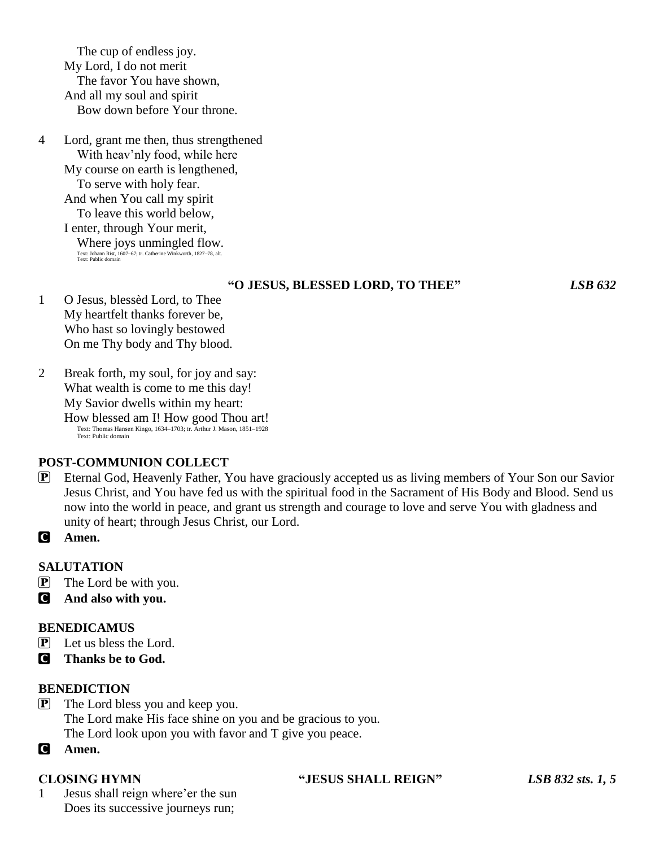The cup of endless joy. My Lord, I do not merit The favor You have shown, And all my soul and spirit Bow down before Your throne.

4 Lord, grant me then, thus strengthened With heav'nly food, while here My course on earth is lengthened, To serve with holy fear. And when You call my spirit To leave this world below, I enter, through Your merit, Where joys unmingled flow. Text: Johann Rist, 1607–67; tr. Catherine Winkworth, 1827–78, alt. Text: Public domain

#### **"O JESUS, BLESSED LORD, TO THEE"** *LSB 632*

- 1 O Jesus, blessèd Lord, to Thee My heartfelt thanks forever be, Who hast so lovingly bestowed On me Thy body and Thy blood.
- 2 Break forth, my soul, for joy and say: What wealth is come to me this day! My Savior dwells within my heart: How blessed am I! How good Thou art! Text: Thomas Hansen Kingo, 1634–1703; tr. Arthur J. Mason, 1851–1928 Text: Public domain

# **POST-COMMUNION COLLECT**

- P Eternal God, Heavenly Father, You have graciously accepted us as living members of Your Son our Savior Jesus Christ, and You have fed us with the spiritual food in the Sacrament of His Body and Blood. Send us now into the world in peace, and grant us strength and courage to love and serve You with gladness and unity of heart; through Jesus Christ, our Lord.
- C **Amen.**

### **SALUTATION**

- $\mathbf{P}$  The Lord be with you.
- C **And also with you.**

#### **BENEDICAMUS**

- $\overline{P}$  Let us bless the Lord.
- C **Thanks be to God.**

#### **BENEDICTION**

- P The Lord bless you and keep you. The Lord make His face shine on you and be gracious to you. The Lord look upon you with favor and T give you peace.
- C **Amen.**

1 Jesus shall reign where'er the sun Does its successive journeys run;

#### **CLOSING HYMN "JESUS SHALL REIGN"** *LSB 832 sts. 1, 5*